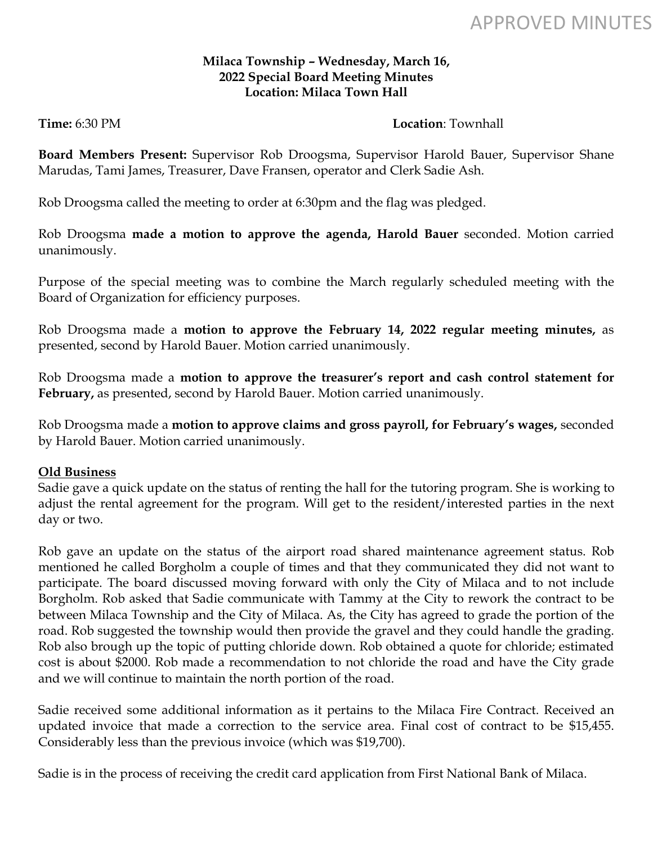# APPROVED MINUTES

#### **Milaca Township – Wednesday, March 16, 2022 Special Board Meeting Minutes Location: Milaca Town Hall**

## **Time:** 6:30 PM

**Board Members Present:** Supervisor Rob Droogsma, Supervisor Harold Bauer, Supervisor Shane Marudas, Tami James, Treasurer, Dave Fransen, operator and Clerk Sadie Ash.

Rob Droogsma called the meeting to order at 6:30pm and the flag was pledged.

Rob Droogsma **made a motion to approve the agenda, Harold Bauer** seconded. Motion carried unanimously.

Purpose of the special meeting was to combine the March regularly scheduled meeting with the Board of Organization for efficiency purposes.

Rob Droogsma made a **motion to approve the February 14, 2022 regular meeting minutes,** as presented, second by Harold Bauer. Motion carried unanimously.

Rob Droogsma made a **motion to approve the treasurer's report and cash control statement for February,** as presented, second by Harold Bauer. Motion carried unanimously.

Rob Droogsma made a **motion to approve claims and gross payroll, for February's wages,** seconded by Harold Bauer. Motion carried unanimously.

## **Old Business**

Sadie gave a quick update on the status of renting the hall for the tutoring program. She is working to adjust the rental agreement for the program. Will get to the resident/interested parties in the next day or two.

Rob gave an update on the status of the airport road shared maintenance agreement status. Rob mentioned he called Borgholm a couple of times and that they communicated they did not want to participate. The board discussed moving forward with only the City of Milaca and to not include Borgholm. Rob asked that Sadie communicate with Tammy at the City to rework the contract to be between Milaca Township and the City of Milaca. As, the City has agreed to grade the portion of the road. Rob suggested the township would then provide the gravel and they could handle the grading. Rob also brough up the topic of putting chloride down. Rob obtained a quote for chloride; estimated cost is about \$2000. Rob made a recommendation to not chloride the road and have the City grade and we will continue to maintain the north portion of the road.

Sadie received some additional information as it pertains to the Milaca Fire Contract. Received an updated invoice that made a correction to the service area. Final cost of contract to be \$15,455. Considerably less than the previous invoice (which was \$19,700).

Sadie is in the process of receiving the credit card application from First National Bank of Milaca.